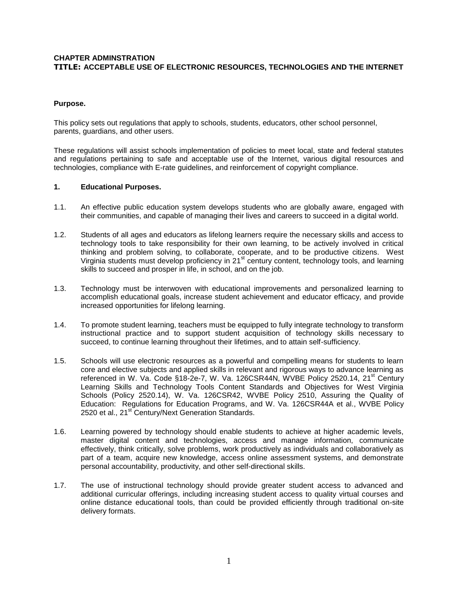# **CHAPTER ADMINSTRATION TITLE: ACCEPTABLE USE OF ELECTRONIC RESOURCES, TECHNOLOGIES AND THE INTERNET**

## **Purpose.**

This policy sets out regulations that apply to schools, students, educators, other school personnel, parents, guardians, and other users.

These regulations will assist schools implementation of policies to meet local, state and federal statutes and regulations pertaining to safe and acceptable use of the Internet, various digital resources and technologies, compliance with E-rate guidelines, and reinforcement of copyright compliance.

### **1. Educational Purposes.**

- 1.1. An effective public education system develops students who are globally aware, engaged with their communities, and capable of managing their lives and careers to succeed in a digital world.
- 1.2. Students of all ages and educators as lifelong learners require the necessary skills and access to technology tools to take responsibility for their own learning, to be actively involved in critical thinking and problem solving, to collaborate, cooperate, and to be productive citizens. West Virginia students must develop proficiency in 21<sup>st</sup> century content, technology tools, and learning skills to succeed and prosper in life, in school, and on the job.
- 1.3. Technology must be interwoven with educational improvements and personalized learning to accomplish educational goals, increase student achievement and educator efficacy, and provide increased opportunities for lifelong learning.
- 1.4. To promote student learning, teachers must be equipped to fully integrate technology to transform instructional practice and to support student acquisition of technology skills necessary to succeed, to continue learning throughout their lifetimes, and to attain self-sufficiency.
- 1.5. Schools will use electronic resources as a powerful and compelling means for students to learn core and elective subjects and applied skills in relevant and rigorous ways to advance learning as referenced in W. Va. Code §18-2e-7, W. Va. 126CSR44N, WVBE Policy 2520.14, 21<sup>st</sup> Century Learning Skills and Technology Tools Content Standards and Objectives for West Virginia Schools (Policy 2520.14), W. Va. 126CSR42, WVBE Policy 2510, Assuring the Quality of Education: Regulations for Education Programs, and W. Va. 126CSR44A et al., WVBE Policy 2520 et al., 21<sup>st</sup> Century/Next Generation Standards.
- 1.6. Learning powered by technology should enable students to achieve at higher academic levels, master digital content and technologies, access and manage information, communicate effectively, think critically, solve problems, work productively as individuals and collaboratively as part of a team, acquire new knowledge, access online assessment systems, and demonstrate personal accountability, productivity, and other self-directional skills.
- 1.7. The use of instructional technology should provide greater student access to advanced and additional curricular offerings, including increasing student access to quality virtual courses and online distance educational tools, than could be provided efficiently through traditional on-site delivery formats.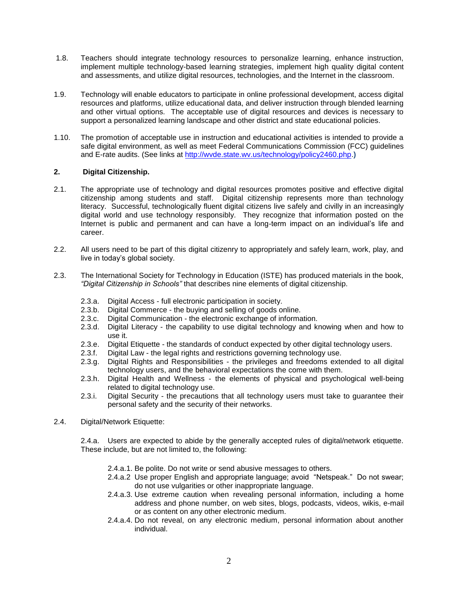- 1.8. Teachers should integrate technology resources to personalize learning, enhance instruction, implement multiple technology-based learning strategies, implement high quality digital content and assessments, and utilize digital resources, technologies, and the Internet in the classroom.
- 1.9. Technology will enable educators to participate in online professional development, access digital resources and platforms, utilize educational data, and deliver instruction through blended learning and other virtual options. The acceptable use of digital resources and devices is necessary to support a personalized learning landscape and other district and state educational policies.
- 1.10. The promotion of acceptable use in instruction and educational activities is intended to provide a safe digital environment, as well as meet Federal Communications Commission (FCC) guidelines and E-rate audits. (See links at [http://wvde.state.wv.us/technology/policy2460.php.](http://wvde.state.wv.us/technology/policy2460.php)**)**

## **2. Digital Citizenship.**

- 2.1. The appropriate use of technology and digital resources promotes positive and effective digital citizenship among students and staff. Digital citizenship represents more than technology literacy. Successful, technologically fluent digital citizens live safely and civilly in an increasingly digital world and use technology responsibly. They recognize that information posted on the Internet is public and permanent and can have a long-term impact on an individual's life and career.
- 2.2. All users need to be part of this digital citizenry to appropriately and safely learn, work, play, and live in today's global society.
- 2.3. The International Society for Technology in Education (ISTE) has produced materials in the book, *"Digital Citizenship in Schools"* that describes nine elements of digital citizenship.
	- 2.3.a. Digital Access full electronic participation in society.
	- 2.3.b. Digital Commerce the buying and selling of goods online.
	- 2.3.c. Digital Communication the electronic exchange of information.
	- 2.3.d. Digital Literacy the capability to use digital technology and knowing when and how to use it.
	- 2.3.e. Digital Etiquette the standards of conduct expected by other digital technology users.
	- 2.3.f. Digital Law the legal rights and restrictions governing technology use.
	- 2.3.g. Digital Rights and Responsibilities the privileges and freedoms extended to all digital technology users, and the behavioral expectations the come with them.
	- 2.3.h. Digital Health and Wellness the elements of physical and psychological well-being related to digital technology use.
	- 2.3.i. Digital Security the precautions that all technology users must take to guarantee their personal safety and the security of their networks.
- 2.4. Digital/Network Etiquette:

2.4.a. Users are expected to abide by the generally accepted rules of digital/network etiquette. These include, but are not limited to, the following:

- 2.4.a.1. Be polite. Do not write or send abusive messages to others.
- 2.4.a.2 Use proper English and appropriate language; avoid "Netspeak." Do not swear; do not use vulgarities or other inappropriate language.
- 2.4.a.3. Use extreme caution when revealing personal information, including a home address and phone number, on web sites, blogs, podcasts, videos, wikis, e-mail or as content on any other electronic medium.
- 2.4.a.4. Do not reveal, on any electronic medium, personal information about another individual.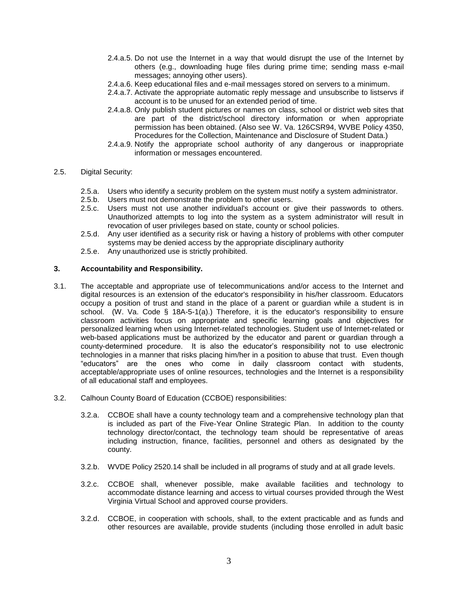- 2.4.a.5. Do not use the Internet in a way that would disrupt the use of the Internet by others (e.g., downloading huge files during prime time; sending mass e-mail messages; annoying other users).
- 2.4.a.6. Keep educational files and e-mail messages stored on servers to a minimum.
- 2.4.a.7. Activate the appropriate automatic reply message and unsubscribe to listservs if account is to be unused for an extended period of time.
- 2.4.a.8. Only publish student pictures or names on class, school or district web sites that are part of the district/school directory information or when appropriate permission has been obtained. (Also see W. Va. 126CSR94, WVBE Policy 4350, Procedures for the Collection, Maintenance and Disclosure of Student Data.)
- 2.4.a.9. Notify the appropriate school authority of any dangerous or inappropriate information or messages encountered.
- 2.5. Digital Security:
	- 2.5.a. Users who identify a security problem on the system must notify a system administrator.
	- 2.5.b. Users must not demonstrate the problem to other users.
	- 2.5.c. Users must not use another individual's account or give their passwords to others. Unauthorized attempts to log into the system as a system administrator will result in revocation of user privileges based on state, county or school policies.
	- 2.5.d. Any user identified as a security risk or having a history of problems with other computer systems may be denied access by the appropriate disciplinary authority
	- 2.5.e. Any unauthorized use is strictly prohibited.

#### **3. Accountability and Responsibility.**

- 3.1. The acceptable and appropriate use of telecommunications and/or access to the Internet and digital resources is an extension of the educator's responsibility in his/her classroom. Educators occupy a position of trust and stand in the place of a parent or guardian while a student is in school. (W. Va. Code § 18A-5-1(a).) Therefore, it is the educator's responsibility to ensure classroom activities focus on appropriate and specific learning goals and objectives for personalized learning when using Internet-related technologies. Student use of Internet-related or web-based applications must be authorized by the educator and parent or guardian through a county-determined procedure. It is also the educator's responsibility not to use electronic technologies in a manner that risks placing him/her in a position to abuse that trust. Even though "educators" are the ones who come in daily classroom contact with students, acceptable/appropriate uses of online resources, technologies and the Internet is a responsibility of all educational staff and employees.
- 3.2. Calhoun County Board of Education (CCBOE) responsibilities:
	- 3.2.a. CCBOE shall have a county technology team and a comprehensive technology plan that is included as part of the Five-Year Online Strategic Plan. In addition to the county technology director/contact, the technology team should be representative of areas including instruction, finance, facilities, personnel and others as designated by the county.
	- 3.2.b. WVDE Policy 2520.14 shall be included in all programs of study and at all grade levels.
	- 3.2.c. CCBOE shall, whenever possible, make available facilities and technology to accommodate distance learning and access to virtual courses provided through the West Virginia Virtual School and approved course providers.
	- 3.2.d. CCBOE, in cooperation with schools, shall, to the extent practicable and as funds and other resources are available, provide students (including those enrolled in adult basic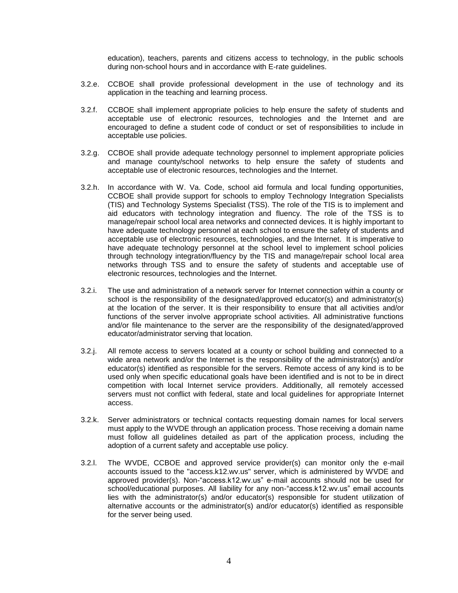education), teachers, parents and citizens access to technology, in the public schools during non-school hours and in accordance with E-rate guidelines.

- 3.2.e. CCBOE shall provide professional development in the use of technology and its application in the teaching and learning process.
- 3.2.f. CCBOE shall implement appropriate policies to help ensure the safety of students and acceptable use of electronic resources, technologies and the Internet and are encouraged to define a student code of conduct or set of responsibilities to include in acceptable use policies.
- 3.2.g. CCBOE shall provide adequate technology personnel to implement appropriate policies and manage county/school networks to help ensure the safety of students and acceptable use of electronic resources, technologies and the Internet.
- 3.2.h. In accordance with W. Va. Code, school aid formula and local funding opportunities, CCBOE shall provide support for schools to employ Technology Integration Specialists (TIS) and Technology Systems Specialist (TSS). The role of the TIS is to implement and aid educators with technology integration and fluency. The role of the TSS is to manage/repair school local area networks and connected devices. It is highly important to have adequate technology personnel at each school to ensure the safety of students and acceptable use of electronic resources, technologies, and the Internet. It is imperative to have adequate technology personnel at the school level to implement school policies through technology integration/fluency by the TIS and manage/repair school local area networks through TSS and to ensure the safety of students and acceptable use of electronic resources, technologies and the Internet.
- 3.2.i. The use and administration of a network server for Internet connection within a county or school is the responsibility of the designated/approved educator(s) and administrator(s) at the location of the server. It is their responsibility to ensure that all activities and/or functions of the server involve appropriate school activities. All administrative functions and/or file maintenance to the server are the responsibility of the designated/approved educator/administrator serving that location.
- 3.2.j. All remote access to servers located at a county or school building and connected to a wide area network and/or the Internet is the responsibility of the administrator(s) and/or educator(s) identified as responsible for the servers. Remote access of any kind is to be used only when specific educational goals have been identified and is not to be in direct competition with local Internet service providers. Additionally, all remotely accessed servers must not conflict with federal, state and local guidelines for appropriate Internet access.
- 3.2.k. Server administrators or technical contacts requesting domain names for local servers must apply to the WVDE through an application process. Those receiving a domain name must follow all guidelines detailed as part of the application process, including the adoption of a current safety and acceptable use policy.
- 3.2.l. The WVDE, CCBOE and approved service provider(s) can monitor only the e-mail accounts issued to the "access.k12.wv.us" server, which is administered by WVDE and approved provider(s). Non-"access.k12.wv.us" e-mail accounts should not be used for school/educational purposes. All liability for any non-"access.k12.wv.us" email accounts lies with the administrator(s) and/or educator(s) responsible for student utilization of alternative accounts or the administrator(s) and/or educator(s) identified as responsible for the server being used.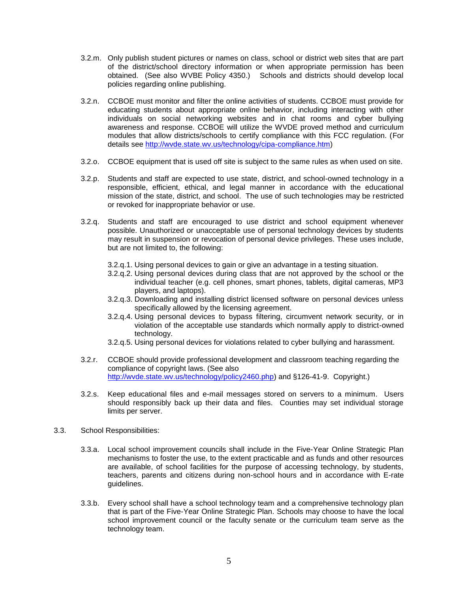- 3.2.m. Only publish student pictures or names on class, school or district web sites that are part of the district/school directory information or when appropriate permission has been obtained. (See also WVBE Policy 4350.) Schools and districts should develop local policies regarding online publishing.
- 3.2.n. CCBOE must monitor and filter the online activities of students. CCBOE must provide for educating students about appropriate online behavior, including interacting with other individuals on social networking websites and in chat rooms and cyber bullying awareness and response. CCBOE will utilize the WVDE proved method and curriculum modules that allow districts/schools to certify compliance with this FCC regulation. (For details see [http://wvde.state.wv.us/technology/cipa-compliance.htm\)](http://wvde.state.wv.us/technology/cipa-compliance.htm)
- 3.2.o. CCBOE equipment that is used off site is subject to the same rules as when used on site.
- 3.2.p. Students and staff are expected to use state, district, and school-owned technology in a responsible, efficient, ethical, and legal manner in accordance with the educational mission of the state, district, and school. The use of such technologies may be restricted or revoked for inappropriate behavior or use.
- 3.2.q. Students and staff are encouraged to use district and school equipment whenever possible. Unauthorized or unacceptable use of personal technology devices by students may result in suspension or revocation of personal device privileges. These uses include, but are not limited to, the following:
	- 3.2.q.1. Using personal devices to gain or give an advantage in a testing situation.
	- 3.2.q.2. Using personal devices during class that are not approved by the school or the individual teacher (e.g. cell phones, smart phones, tablets, digital cameras, MP3 players, and laptops).
	- 3.2.q.3. Downloading and installing district licensed software on personal devices unless specifically allowed by the licensing agreement.
	- 3.2.q.4. Using personal devices to bypass filtering, circumvent network security, or in violation of the acceptable use standards which normally apply to district-owned technology.
	- 3.2.q.5. Using personal devices for violations related to cyber bullying and harassment.
- 3.2.r. CCBOE should provide professional development and classroom teaching regarding the compliance of copyright laws. (See also [http://wvde.state.wv.us/technology/policy2460.php\)](http://wvde.state.wv.us/technology/policy2460.php) and §126-41-9. Copyright.)
- 3.2.s. Keep educational files and e-mail messages stored on servers to a minimum. Users should responsibly back up their data and files. Counties may set individual storage limits per server.
- 3.3. School Responsibilities:
	- 3.3.a. Local school improvement councils shall include in the Five-Year Online Strategic Plan mechanisms to foster the use, to the extent practicable and as funds and other resources are available, of school facilities for the purpose of accessing technology, by students, teachers, parents and citizens during non-school hours and in accordance with E-rate guidelines.
	- 3.3.b. Every school shall have a school technology team and a comprehensive technology plan that is part of the Five-Year Online Strategic Plan. Schools may choose to have the local school improvement council or the faculty senate or the curriculum team serve as the technology team.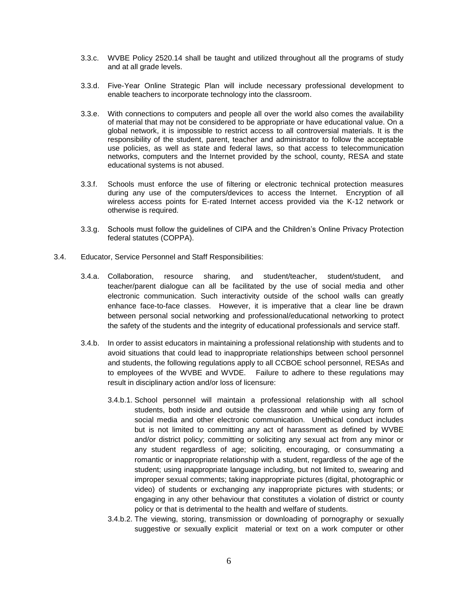- 3.3.c. WVBE Policy 2520.14 shall be taught and utilized throughout all the programs of study and at all grade levels.
- 3.3.d. Five-Year Online Strategic Plan will include necessary professional development to enable teachers to incorporate technology into the classroom.
- 3.3.e. With connections to computers and people all over the world also comes the availability of material that may not be considered to be appropriate or have educational value. On a global network, it is impossible to restrict access to all controversial materials. It is the responsibility of the student, parent, teacher and administrator to follow the acceptable use policies, as well as state and federal laws, so that access to telecommunication networks, computers and the Internet provided by the school, county, RESA and state educational systems is not abused.
- 3.3.f. Schools must enforce the use of filtering or electronic technical protection measures during any use of the computers/devices to access the Internet. Encryption of all wireless access points for E-rated Internet access provided via the K-12 network or otherwise is required.
- 3.3.g. Schools must follow the guidelines of CIPA and the Children's Online Privacy Protection federal statutes (COPPA).
- 3.4. Educator, Service Personnel and Staff Responsibilities:
	- 3.4.a. Collaboration, resource sharing, and student/teacher, student/student, and teacher/parent dialogue can all be facilitated by the use of social media and other electronic communication. Such interactivity outside of the school walls can greatly enhance face-to-face classes. However, it is imperative that a clear line be drawn between personal social networking and professional/educational networking to protect the safety of the students and the integrity of educational professionals and service staff.
	- 3.4.b. In order to assist educators in maintaining a professional relationship with students and to avoid situations that could lead to inappropriate relationships between school personnel and students, the following regulations apply to all CCBOE school personnel, RESAs and to employees of the WVBE and WVDE. Failure to adhere to these regulations may result in disciplinary action and/or loss of licensure:
		- 3.4.b.1. School personnel will maintain a professional relationship with all school students, both inside and outside the classroom and while using any form of social media and other electronic communication. Unethical conduct includes but is not limited to committing any act of harassment as defined by WVBE and/or district policy; committing or soliciting any sexual act from any minor or any student regardless of age; soliciting, encouraging, or consummating a romantic or inappropriate relationship with a student, regardless of the age of the student; using inappropriate language including, but not limited to, swearing and improper sexual comments; taking inappropriate pictures (digital, photographic or video) of students or exchanging any inappropriate pictures with students; or engaging in any other behaviour that constitutes a violation of district or county policy or that is detrimental to the health and welfare of students.
		- 3.4.b.2. The viewing, storing, transmission or downloading of pornography or sexually suggestive or sexually explicit material or text on a work computer or other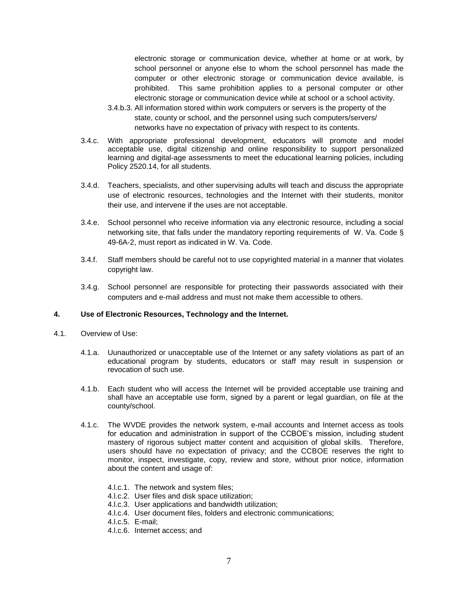electronic storage or communication device, whether at home or at work, by school personnel or anyone else to whom the school personnel has made the computer or other electronic storage or communication device available, is prohibited. This same prohibition applies to a personal computer or other electronic storage or communication device while at school or a school activity.

- 3.4.b.3. All information stored within work computers or servers is the property of the state, county or school, and the personnel using such computers/servers/ networks have no expectation of privacy with respect to its contents.
- 3.4.c. With appropriate professional development, educators will promote and model acceptable use, digital citizenship and online responsibility to support personalized learning and digital-age assessments to meet the educational learning policies, including Policy 2520.14, for all students.
- 3.4.d. Teachers, specialists, and other supervising adults will teach and discuss the appropriate use of electronic resources, technologies and the Internet with their students, monitor their use, and intervene if the uses are not acceptable.
- 3.4.e. School personnel who receive information via any electronic resource, including a social networking site, that falls under the mandatory reporting requirements of W. Va. Code § 49-6A-2, must report as indicated in W. Va. Code.
- 3.4.f. Staff members should be careful not to use copyrighted material in a manner that violates copyright law.
- 3.4.g. School personnel are responsible for protecting their passwords associated with their computers and e-mail address and must not make them accessible to others.

### **4. Use of Electronic Resources, Technology and the Internet.**

- 4.1. Overview of Use:
	- 4.1.a. Uunauthorized or unacceptable use of the Internet or any safety violations as part of an educational program by students, educators or staff may result in suspension or revocation of such use.
	- 4.1.b. Each student who will access the Internet will be provided acceptable use training and shall have an acceptable use form, signed by a parent or legal guardian, on file at the county/school.
	- 4.1.c. The WVDE provides the network system, e-mail accounts and Internet access as tools for education and administration in support of the CCBOE's mission, including student mastery of rigorous subject matter content and acquisition of global skills. Therefore, users should have no expectation of privacy; and the CCBOE reserves the right to monitor, inspect, investigate, copy, review and store, without prior notice, information about the content and usage of:
		- 4.l.c.1. The network and system files;
		- 4.l.c.2. User files and disk space utilization;
		- 4.l.c.3. User applications and bandwidth utilization;
		- 4.l.c.4. User document files, folders and electronic communications;
		- 4.l.c.5. E-mail;
		- 4.l.c.6. Internet access; and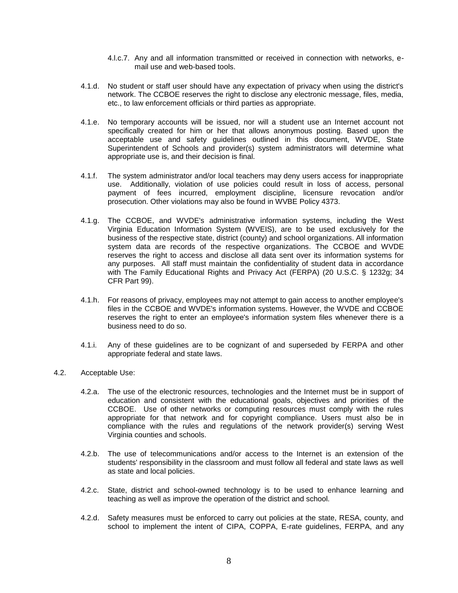- 4.l.c.7. Any and all information transmitted or received in connection with networks, email use and web-based tools.
- 4.1.d. No student or staff user should have any expectation of privacy when using the district's network. The CCBOE reserves the right to disclose any electronic message, files, media, etc., to law enforcement officials or third parties as appropriate.
- 4.1.e. No temporary accounts will be issued, nor will a student use an Internet account not specifically created for him or her that allows anonymous posting. Based upon the acceptable use and safety guidelines outlined in this document, WVDE, State Superintendent of Schools and provider(s) system administrators will determine what appropriate use is, and their decision is final.
- 4.1.f. The system administrator and/or local teachers may deny users access for inappropriate use. Additionally, violation of use policies could result in loss of access, personal payment of fees incurred, employment discipline, licensure revocation and/or prosecution. Other violations may also be found in WVBE Policy 4373.
- 4.1.g. The CCBOE, and WVDE's administrative information systems, including the West Virginia Education Information System (WVEIS), are to be used exclusively for the business of the respective state, district (county) and school organizations. All information system data are records of the respective organizations. The CCBOE and WVDE reserves the right to access and disclose all data sent over its information systems for any purposes. All staff must maintain the confidentiality of student data in accordance with The Family Educational Rights and Privacy Act (FERPA) (20 U.S.C. § 1232g; 34 CFR Part 99).
- 4.1.h. For reasons of privacy, employees may not attempt to gain access to another employee's files in the CCBOE and WVDE's information systems. However, the WVDE and CCBOE reserves the right to enter an employee's information system files whenever there is a business need to do so.
- 4.1.i. Any of these guidelines are to be cognizant of and superseded by FERPA and other appropriate federal and state laws.
- 4.2. Acceptable Use:
	- 4.2.a. The use of the electronic resources, technologies and the Internet must be in support of education and consistent with the educational goals, objectives and priorities of the CCBOE. Use of other networks or computing resources must comply with the rules appropriate for that network and for copyright compliance. Users must also be in compliance with the rules and regulations of the network provider(s) serving West Virginia counties and schools.
	- 4.2.b. The use of telecommunications and/or access to the Internet is an extension of the students' responsibility in the classroom and must follow all federal and state laws as well as state and local policies.
	- 4.2.c. State, district and school-owned technology is to be used to enhance learning and teaching as well as improve the operation of the district and school.
	- 4.2.d. Safety measures must be enforced to carry out policies at the state, RESA, county, and school to implement the intent of CIPA, COPPA, E-rate guidelines, FERPA, and any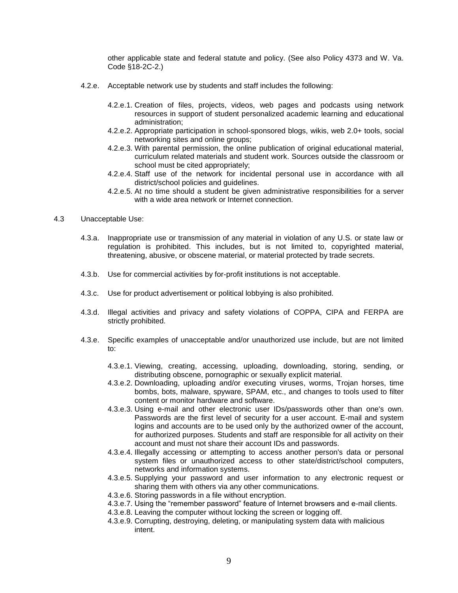other applicable state and federal statute and policy. (See also Policy 4373 and W. Va. Code §18-2C-2.)

- 4.2.e. Acceptable network use by students and staff includes the following:
	- 4.2.e.1. Creation of files, projects, videos, web pages and podcasts using network resources in support of student personalized academic learning and educational administration;
	- 4.2.e.2. Appropriate participation in school-sponsored blogs, wikis, web 2.0+ tools, social networking sites and online groups;
	- 4.2.e.3. With parental permission, the online publication of original educational material, curriculum related materials and student work. Sources outside the classroom or school must be cited appropriately;
	- 4.2.e.4. Staff use of the network for incidental personal use in accordance with all district/school policies and guidelines.
	- 4.2.e.5. At no time should a student be given administrative responsibilities for a server with a wide area network or Internet connection.
- 4.3 Unacceptable Use:
	- 4.3.a. Inappropriate use or transmission of any material in violation of any U.S. or state law or regulation is prohibited. This includes, but is not limited to, copyrighted material, threatening, abusive, or obscene material, or material protected by trade secrets.
	- 4.3.b. Use for commercial activities by for-profit institutions is not acceptable.
	- 4.3.c. Use for product advertisement or political lobbying is also prohibited.
	- 4.3.d. Illegal activities and privacy and safety violations of COPPA, CIPA and FERPA are strictly prohibited.
	- 4.3.e. Specific examples of unacceptable and/or unauthorized use include, but are not limited to:
		- 4.3.e.1. Viewing, creating, accessing, uploading, downloading, storing, sending, or distributing obscene, pornographic or sexually explicit material.
		- 4.3.e.2. Downloading, uploading and/or executing viruses, worms, Trojan horses, time bombs, bots, malware, spyware, SPAM, etc., and changes to tools used to filter content or monitor hardware and software.
		- 4.3.e.3. Using e-mail and other electronic user IDs/passwords other than one's own. Passwords are the first level of security for a user account. E-mail and system logins and accounts are to be used only by the authorized owner of the account, for authorized purposes. Students and staff are responsible for all activity on their account and must not share their account IDs and passwords.
		- 4.3.e.4. Illegally accessing or attempting to access another person's data or personal system files or unauthorized access to other state/district/school computers, networks and information systems.
		- 4.3.e.5. Supplying your password and user information to any electronic request or sharing them with others via any other communications.
		- 4.3.e.6. Storing passwords in a file without encryption.
		- 4.3.e.7. Using the "remember password" feature of Internet browsers and e-mail clients.
		- 4.3.e.8. Leaving the computer without locking the screen or logging off.
		- 4.3.e.9. Corrupting, destroying, deleting, or manipulating system data with malicious intent.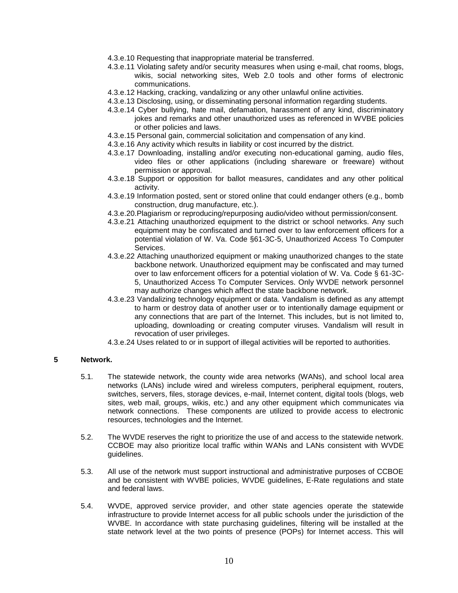- 4.3.e.10 Requesting that inappropriate material be transferred.
- 4.3.e.11 Violating safety and/or security measures when using e-mail, chat rooms, blogs, wikis, social networking sites, Web 2.0 tools and other forms of electronic communications.
- 4.3.e.12 Hacking, cracking, vandalizing or any other unlawful online activities.
- 4.3.e.13 Disclosing, using, or disseminating personal information regarding students.
- 4.3.e.14 Cyber bullying, hate mail, defamation, harassment of any kind, discriminatory jokes and remarks and other unauthorized uses as referenced in WVBE policies or other policies and laws.
- 4.3.e.15 Personal gain, commercial solicitation and compensation of any kind.
- 4.3.e.16 Any activity which results in liability or cost incurred by the district.
- 4.3.e.17 Downloading, installing and/or executing non-educational gaming, audio files, video files or other applications (including shareware or freeware) without permission or approval.
- 4.3.e.18 Support or opposition for ballot measures, candidates and any other political activity.
- 4.3.e.19 Information posted, sent or stored online that could endanger others (e.g., bomb construction, drug manufacture, etc.).
- 4.3.e.20.Plagiarism or reproducing/repurposing audio/video without permission/consent.
- 4.3.e.21 Attaching unauthorized equipment to the district or school networks. Any such equipment may be confiscated and turned over to law enforcement officers for a potential violation of W. Va. Code §61-3C-5, Unauthorized Access To Computer Services.
- 4.3.e.22 Attaching unauthorized equipment or making unauthorized changes to the state backbone network. Unauthorized equipment may be confiscated and may turned over to law enforcement officers for a potential violation of W. Va. Code § 61-3C-5, Unauthorized Access To Computer Services. Only WVDE network personnel may authorize changes which affect the state backbone network.
- 4.3.e.23 Vandalizing technology equipment or data. Vandalism is defined as any attempt to harm or destroy data of another user or to intentionally damage equipment or any connections that are part of the Internet. This includes, but is not limited to, uploading, downloading or creating computer viruses. Vandalism will result in revocation of user privileges.
- 4.3.e.24 Uses related to or in support of illegal activities will be reported to authorities.

### **5 Network.**

- 5.1. The statewide network, the county wide area networks (WANs), and school local area networks (LANs) include wired and wireless computers, peripheral equipment, routers, switches, servers, files, storage devices, e-mail, Internet content, digital tools (blogs, web sites, web mail, groups, wikis, etc.) and any other equipment which communicates via network connections. These components are utilized to provide access to electronic resources, technologies and the Internet.
- 5.2. The WVDE reserves the right to prioritize the use of and access to the statewide network. CCBOE may also prioritize local traffic within WANs and LANs consistent with WVDE guidelines.
- 5.3. All use of the network must support instructional and administrative purposes of CCBOE and be consistent with WVBE policies, WVDE guidelines, E-Rate regulations and state and federal laws.
- 5.4. WVDE, approved service provider, and other state agencies operate the statewide infrastructure to provide Internet access for all public schools under the jurisdiction of the WVBE. In accordance with state purchasing guidelines, filtering will be installed at the state network level at the two points of presence (POPs) for Internet access. This will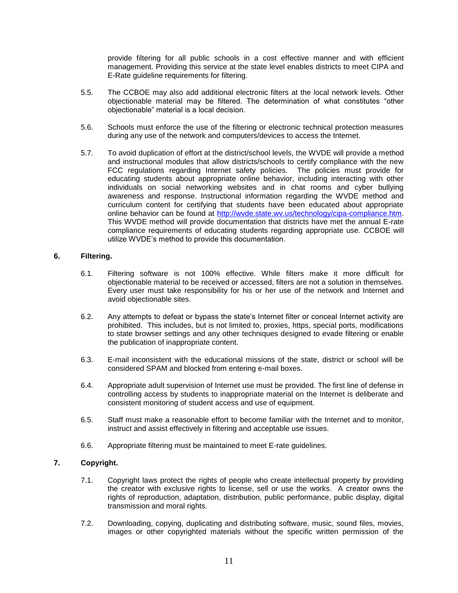provide filtering for all public schools in a cost effective manner and with efficient management. Providing this service at the state level enables districts to meet CIPA and E-Rate guideline requirements for filtering.

- 5.5. The CCBOE may also add additional electronic filters at the local network levels. Other objectionable material may be filtered. The determination of what constitutes "other objectionable" material is a local decision.
- 5.6. Schools must enforce the use of the filtering or electronic technical protection measures during any use of the network and computers/devices to access the Internet.
- 5.7. To avoid duplication of effort at the district/school levels, the WVDE will provide a method and instructional modules that allow districts/schools to certify compliance with the new FCC regulations regarding Internet safety policies. The policies must provide for educating students about appropriate online behavior, including interacting with other individuals on social networking websites and in chat rooms and cyber bullying awareness and response. Instructional information regarding the WVDE method and curriculum content for certifying that students have been educated about appropriate online behavior can be found at [http://wvde.state.wv.us/technology/cipa-compliance.htm.](http://wvde.state.wv.us/technology/cipa-compliance.htm) This WVDE method will provide documentation that districts have met the annual E-rate compliance requirements of educating students regarding appropriate use. CCBOE will utilize WVDE's method to provide this documentation.

## **6. Filtering.**

- 6.1. Filtering software is not 100% effective. While filters make it more difficult for objectionable material to be received or accessed, filters are not a solution in themselves. Every user must take responsibility for his or her use of the network and Internet and avoid objectionable sites.
- 6.2. Any attempts to defeat or bypass the state's Internet filter or conceal Internet activity are prohibited. This includes, but is not limited to, proxies, https, special ports, modifications to state browser settings and any other techniques designed to evade filtering or enable the publication of inappropriate content.
- 6.3. E-mail inconsistent with the educational missions of the state, district or school will be considered SPAM and blocked from entering e-mail boxes.
- 6.4. Appropriate adult supervision of Internet use must be provided. The first line of defense in controlling access by students to inappropriate material on the Internet is deliberate and consistent monitoring of student access and use of equipment.
- 6.5. Staff must make a reasonable effort to become familiar with the Internet and to monitor, instruct and assist effectively in filtering and acceptable use issues.
- 6.6. Appropriate filtering must be maintained to meet E-rate guidelines.

### **7. Copyright.**

- 7.1. Copyright laws protect the rights of people who create intellectual property by providing the creator with exclusive rights to license, sell or use the works. A creator owns the rights of reproduction, adaptation, distribution, public performance, public display, digital transmission and moral rights.
- 7.2. Downloading, copying, duplicating and distributing software, music, sound files, movies, images or other copyrighted materials without the specific written permission of the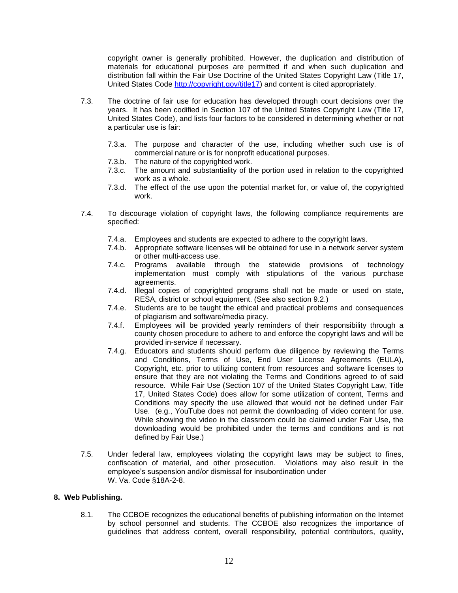copyright owner is generally prohibited. However, the duplication and distribution of materials for educational purposes are permitted if and when such duplication and distribution fall within the Fair Use Doctrine of the United States Copyright Law (Title 17, United States Code [http://copyright.gov/title17\)](http://copyright.gov/title17) and content is cited appropriately.

- 7.3. The doctrine of fair use for education has developed through court decisions over the years. It has been codified in Section 107 of the United States Copyright Law (Title 17, United States Code), and lists four factors to be considered in determining whether or not a particular use is fair:
	- 7.3.a. The purpose and character of the use, including whether such use is of commercial nature or is for nonprofit educational purposes.
	- 7.3.b. The nature of the copyrighted work.
	- 7.3.c. The amount and substantiality of the portion used in relation to the copyrighted work as a whole.
	- 7.3.d. The effect of the use upon the potential market for, or value of, the copyrighted work.
- 7.4. To discourage violation of copyright laws, the following compliance requirements are specified:
	- 7.4.a. Employees and students are expected to adhere to the copyright laws.
	- 7.4.b. Appropriate software licenses will be obtained for use in a network server system or other multi-access use.
	- 7.4.c. Programs available through the statewide provisions of technology implementation must comply with stipulations of the various purchase agreements.
	- 7.4.d. Illegal copies of copyrighted programs shall not be made or used on state, RESA, district or school equipment. (See also section 9.2.)
	- 7.4.e. Students are to be taught the ethical and practical problems and consequences of plagiarism and software/media piracy.
	- 7.4.f. Employees will be provided yearly reminders of their responsibility through a county chosen procedure to adhere to and enforce the copyright laws and will be provided in-service if necessary.
	- 7.4.g. Educators and students should perform due diligence by reviewing the Terms and Conditions, Terms of Use, End User License Agreements (EULA), Copyright, etc. prior to utilizing content from resources and software licenses to ensure that they are not violating the Terms and Conditions agreed to of said resource. While Fair Use (Section 107 of the United States Copyright Law, Title 17, United States Code) does allow for some utilization of content, Terms and Conditions may specify the use allowed that would not be defined under Fair Use. (e.g., YouTube does not permit the downloading of video content for use. While showing the video in the classroom could be claimed under Fair Use, the downloading would be prohibited under the terms and conditions and is not defined by Fair Use.)
- 7.5. Under federal law, employees violating the copyright laws may be subject to fines, confiscation of material, and other prosecution. Violations may also result in the employee's suspension and/or dismissal for insubordination under W. Va. Code §18A-2-8.

### **8. Web Publishing.**

8.1. The CCBOE recognizes the educational benefits of publishing information on the Internet by school personnel and students. The CCBOE also recognizes the importance of guidelines that address content, overall responsibility, potential contributors, quality,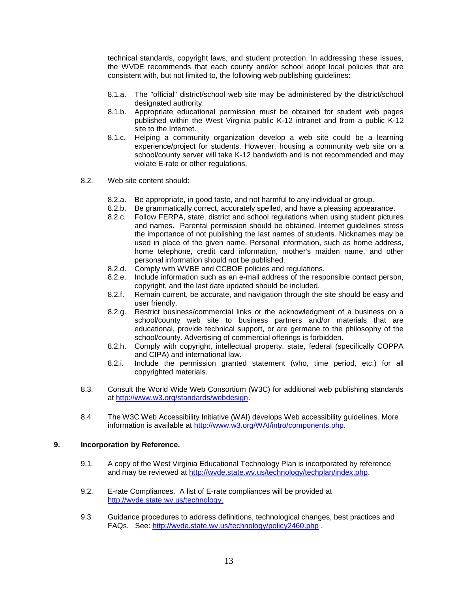technical standards, copyright laws, and student protection. In addressing these issues, the WVDE recommends that each county and/or school adopt local policies that are consistent with, but not limited to, the following web publishing guidelines:

- 8.1.a. The "official" district/school web site may be administered by the district/school designated authority.
- 8.1.b. Appropriate educational permission must be obtained for student web pages published within the West Virginia public K-12 intranet and from a public K-12 site to the Internet.
- 8.1.c. Helping a community organization develop a web site could be a learning experience/project for students. However, housing a community web site on a school/county server will take K-12 bandwidth and is not recommended and may violate E-rate or other regulations.
- 8.2. Web site content should:
	- 8.2.a. Be appropriate, in good taste, and not harmful to any individual or group.
	- 8.2.b. Be grammatically correct, accurately spelled, and have a pleasing appearance.
	- 8.2.c. Follow FERPA, state, district and school regulations when using student pictures and names. Parental permission should be obtained. Internet guidelines stress the importance of not publishing the last names of students. Nicknames may be used in place of the given name. Personal information, such as home address, home telephone, credit card information, mother's maiden name, and other personal information should not be published.
	- 8.2.d. Comply with WVBE and CCBOE policies and regulations.
	- 8.2.e. Include information such as an e-mail address of the responsible contact person, copyright, and the last date updated should be included.
	- 8.2.f. Remain current, be accurate, and navigation through the site should be easy and user friendly.
	- 8.2.g. Restrict business/commercial links or the acknowledgment of a business on a school/county web site to business partners and/or materials that are educational, provide technical support, or are germane to the philosophy of the school/county. Advertising of commercial offerings is forbidden.
	- 8.2.h. Comply with copyright, intellectual property, state, federal (specifically COPPA and CIPA) and international law.
	- 8.2.i. Include the permission granted statement (who, time period, etc.) for all copyrighted materials.
- 8.3. Consult the World Wide Web Consortium (W3C) for additional web publishing standards at [http://www.w3.org/standards/webdesign.](http://www.w3.org/standards/webdesign)
- 8.4. The W3C Web Accessibility Initiative (WAI) develops Web accessibility guidelines. More information is available at [http://www.w3.org/WAI/intro/components.php.](http://www.w3.org/WAI/intro/components.php)

### **9. Incorporation by Reference.**

- 9.1. A copy of the West Virginia Educational Technology Plan is incorporated by reference and may be reviewed at [http://wvde.state.wv.us/technology/techplan/index.php.](http://wvde.state.wv.us/technology/techplan/index.php)
- 9.2. E-rate Compliances. A list of E-rate compliances will be provided at [http://wvde.state.wv.us/technology.](http://wvde.state.wv.us/technology)
- 9.3. Guidance procedures to address definitions, technological changes, best practices and FAQs. See:<http://wvde.state.wv.us/technology/policy2460.php> .